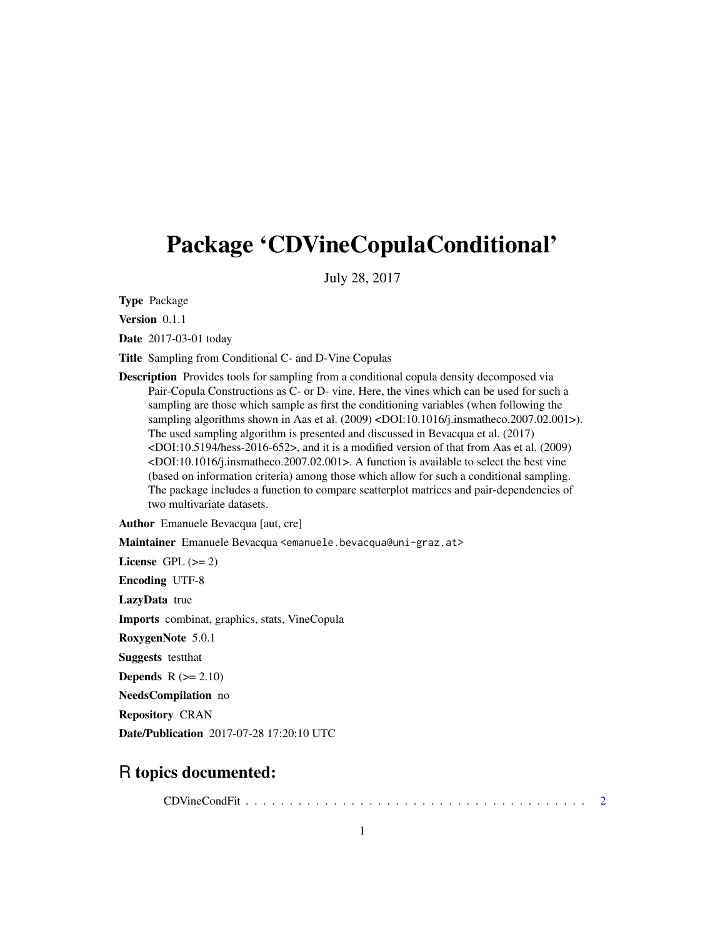## <span id="page-0-0"></span>Package 'CDVineCopulaConditional'

July 28, 2017

Type Package

Version 0.1.1

Date 2017-03-01 today

Title Sampling from Conditional C- and D-Vine Copulas

Description Provides tools for sampling from a conditional copula density decomposed via Pair-Copula Constructions as C- or D- vine. Here, the vines which can be used for such a sampling are those which sample as first the conditioning variables (when following the sampling algorithms shown in Aas et al. (2009) <DOI:10.1016/j.insmatheco.2007.02.001>). The used sampling algorithm is presented and discussed in Bevacqua et al. (2017) <DOI:10.5194/hess-2016-652>, and it is a modified version of that from Aas et al. (2009) <DOI:10.1016/j.insmatheco.2007.02.001>. A function is available to select the best vine (based on information criteria) among those which allow for such a conditional sampling. The package includes a function to compare scatterplot matrices and pair-dependencies of two multivariate datasets.

Author Emanuele Bevacqua [aut, cre]

Maintainer Emanuele Bevacqua <emanuele.bevacqua@uni-graz.at>

License GPL  $(>= 2)$ Encoding UTF-8 LazyData true Imports combinat, graphics, stats, VineCopula RoxygenNote 5.0.1 Suggests testthat **Depends**  $R (= 2.10)$ NeedsCompilation no Repository CRAN Date/Publication 2017-07-28 17:20:10 UTC

### R topics documented:

CDVineCondFit . . . . . . . . . . . . . . . . . . . . . . . . . . . . . . . . . . . . . . . [2](#page-1-0)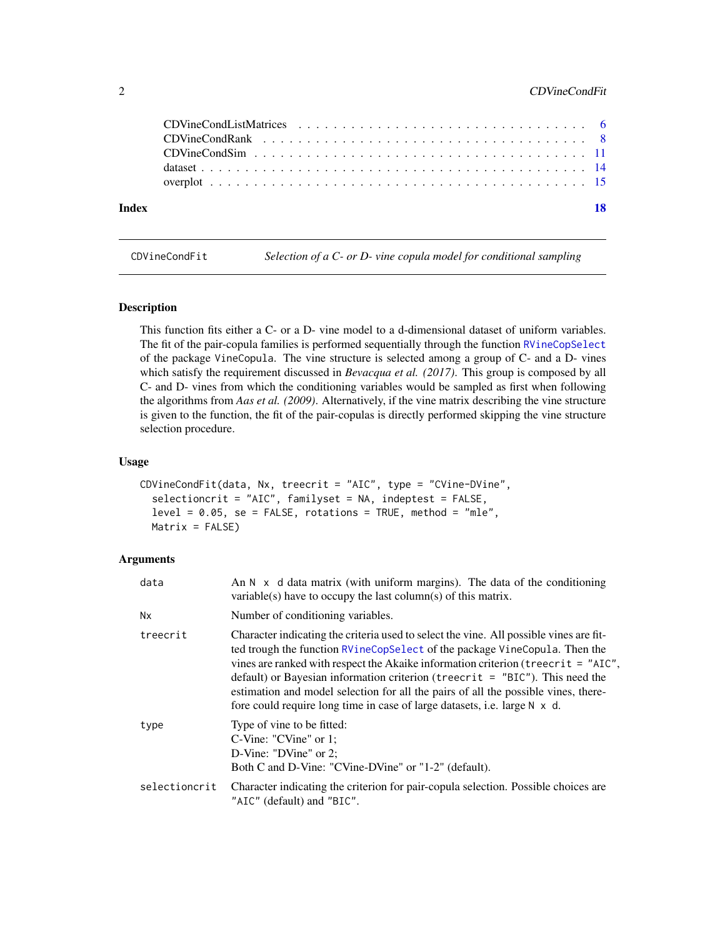#### <span id="page-1-0"></span>2 CDVineCondFit

| Index | - 18 |  |
|-------|------|--|
|       |      |  |
|       |      |  |
|       |      |  |
|       |      |  |

<span id="page-1-1"></span>CDVineCondFit *Selection of a C- or D- vine copula model for conditional sampling*

#### Description

This function fits either a C- or a D- vine model to a d-dimensional dataset of uniform variables. The fit of the pair-copula families is performed sequentially through the function [RVineCopSelect](#page-0-0) of the package VineCopula. The vine structure is selected among a group of C- and a D- vines which satisfy the requirement discussed in *Bevacqua et al. (2017)*. This group is composed by all C- and D- vines from which the conditioning variables would be sampled as first when following the algorithms from *Aas et al. (2009)*. Alternatively, if the vine matrix describing the vine structure is given to the function, the fit of the pair-copulas is directly performed skipping the vine structure selection procedure.

#### Usage

```
CDVineCondFit(data, Nx, treecrit = "AIC", type = "CVine-DVine",
  selectioncrit = "AIC", familyset = NA, indeptest = FALSE,
  level = 0.05, se = FALSE, rotations = TRUE, method = "mle",
 Matrix = FALSE)
```
#### Arguments

| data          | An $N \times d$ data matrix (with uniform margins). The data of the conditioning<br>variable(s) have to occupy the last column(s) of this matrix.                                                                                                                                                                                                                                                                                                                                                              |
|---------------|----------------------------------------------------------------------------------------------------------------------------------------------------------------------------------------------------------------------------------------------------------------------------------------------------------------------------------------------------------------------------------------------------------------------------------------------------------------------------------------------------------------|
| <b>Nx</b>     | Number of conditioning variables.                                                                                                                                                                                                                                                                                                                                                                                                                                                                              |
| treecrit      | Character indicating the criteria used to select the vine. All possible vines are fit-<br>ted trough the function RVineCopSelect of the package VineCopula. Then the<br>vines are ranked with respect the Akaike information criterion (treecrit = "AIC",<br>default) or Bayesian information criterion (treecrit $=$ "BIC"). This need the<br>estimation and model selection for all the pairs of all the possible vines, there-<br>fore could require long time in case of large datasets, i.e. large N x d. |
| type          | Type of vine to be fitted:<br>$C\text{-}Vine: "CVine"$ or 1;<br>D-Vine: "DVine" or 2;<br>Both C and D-Vine: "CVine-DVine" or "1-2" (default).                                                                                                                                                                                                                                                                                                                                                                  |
| selectioncrit | Character indicating the criterion for pair-copula selection. Possible choices are<br>"AIC" (default) and "BIC".                                                                                                                                                                                                                                                                                                                                                                                               |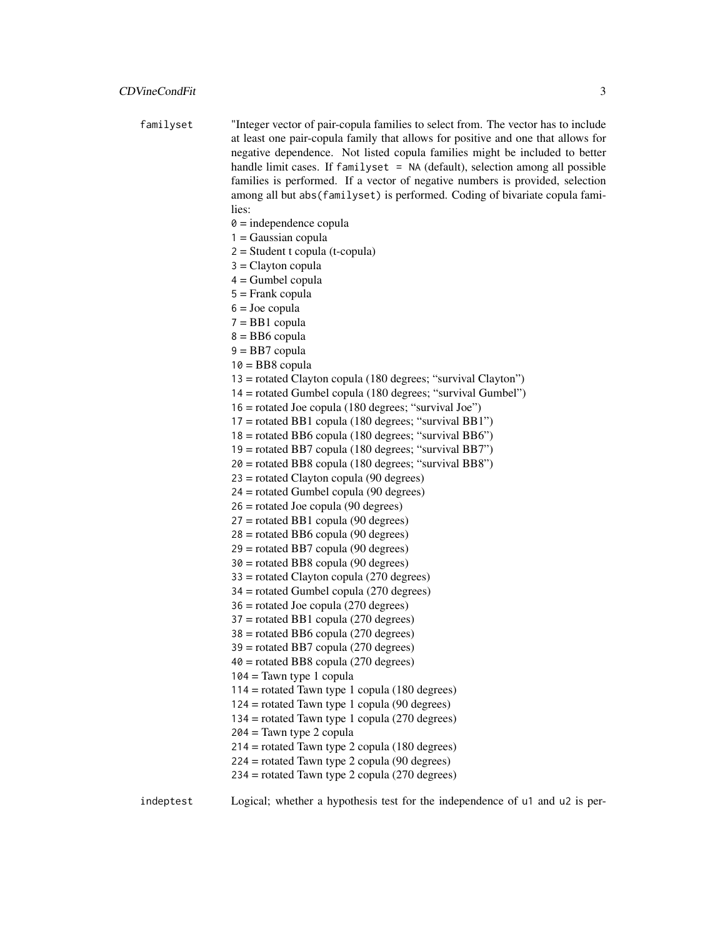| familyset | "Integer vector of pair-copula families to select from. The vector has to include<br>at least one pair-copula family that allows for positive and one that allows for |
|-----------|-----------------------------------------------------------------------------------------------------------------------------------------------------------------------|
|           |                                                                                                                                                                       |
|           | negative dependence. Not listed copula families might be included to better                                                                                           |
|           | handle limit cases. If familyset = NA (default), selection among all possible                                                                                         |
|           | families is performed. If a vector of negative numbers is provided, selection                                                                                         |
|           | among all but abs (familyset) is performed. Coding of bivariate copula fami-                                                                                          |
|           | lies:                                                                                                                                                                 |
|           | $\theta$ = independence copula                                                                                                                                        |
|           | $1 = Gaussian copula$                                                                                                                                                 |
|           | $2 = Student$ t copula (t-copula)                                                                                                                                     |
|           | $3 =$ Clayton copula                                                                                                                                                  |
|           | $4 =$ Gumbel copula                                                                                                                                                   |
|           | $5 =$ Frank copula                                                                                                                                                    |
|           | $6 =$ Joe copula                                                                                                                                                      |
|           | $7 = BB1$ copula                                                                                                                                                      |
|           | $8 = BB6$ copula                                                                                                                                                      |
|           | $9 = BB7$ copula                                                                                                                                                      |
|           | $10 = BB8$ copula                                                                                                                                                     |
|           | 13 = rotated Clayton copula (180 degrees; "survival Clayton")                                                                                                         |
|           | 14 = rotated Gumbel copula (180 degrees; "survival Gumbel")                                                                                                           |
|           | 16 = rotated Joe copula (180 degrees; "survival Joe")                                                                                                                 |
|           | $17$ = rotated BB1 copula (180 degrees; "survival BB1")                                                                                                               |
|           | $18 =$ rotated BB6 copula (180 degrees; "survival BB6")                                                                                                               |
|           | $19$ = rotated BB7 copula (180 degrees; "survival BB7")                                                                                                               |
|           | $20 =$ rotated BB8 copula (180 degrees; "survival BB8")                                                                                                               |
|           | $23$ = rotated Clayton copula (90 degrees)                                                                                                                            |
|           | $24$ = rotated Gumbel copula (90 degrees)                                                                                                                             |
|           | $26$ = rotated Joe copula (90 degrees)                                                                                                                                |
|           | $27$ = rotated BB1 copula (90 degrees)                                                                                                                                |
|           | $28 =$ rotated BB6 copula (90 degrees)                                                                                                                                |
|           | $29$ = rotated BB7 copula (90 degrees)                                                                                                                                |
|           | $30$ = rotated BB8 copula (90 degrees)                                                                                                                                |
|           | $33$ = rotated Clayton copula (270 degrees)                                                                                                                           |
|           | $34$ = rotated Gumbel copula (270 degrees)                                                                                                                            |
|           | $36$ = rotated Joe copula (270 degrees)                                                                                                                               |
|           | $37$ = rotated BB1 copula (270 degrees)                                                                                                                               |
|           | $38 =$ rotated BB6 copula (270 degrees)                                                                                                                               |
|           | $39$ = rotated BB7 copula (270 degrees)                                                                                                                               |
|           | $40 =$ rotated BB8 copula (270 degrees)                                                                                                                               |
|           | $104 =$ Tawn type 1 copula                                                                                                                                            |
|           | $114$ = rotated Tawn type 1 copula (180 degrees)                                                                                                                      |
|           | $124$ = rotated Tawn type 1 copula (90 degrees)                                                                                                                       |
|           |                                                                                                                                                                       |
|           | $134$ = rotated Tawn type 1 copula (270 degrees)                                                                                                                      |
|           | $204 =$ Tawn type 2 copula                                                                                                                                            |
|           | $214$ = rotated Tawn type 2 copula (180 degrees)                                                                                                                      |
|           | $224$ = rotated Tawn type 2 copula (90 degrees)                                                                                                                       |
|           | 234 = rotated Tawn type 2 copula (270 degrees)                                                                                                                        |
|           |                                                                                                                                                                       |

indeptest Logical; whether a hypothesis test for the independence of u1 and u2 is per-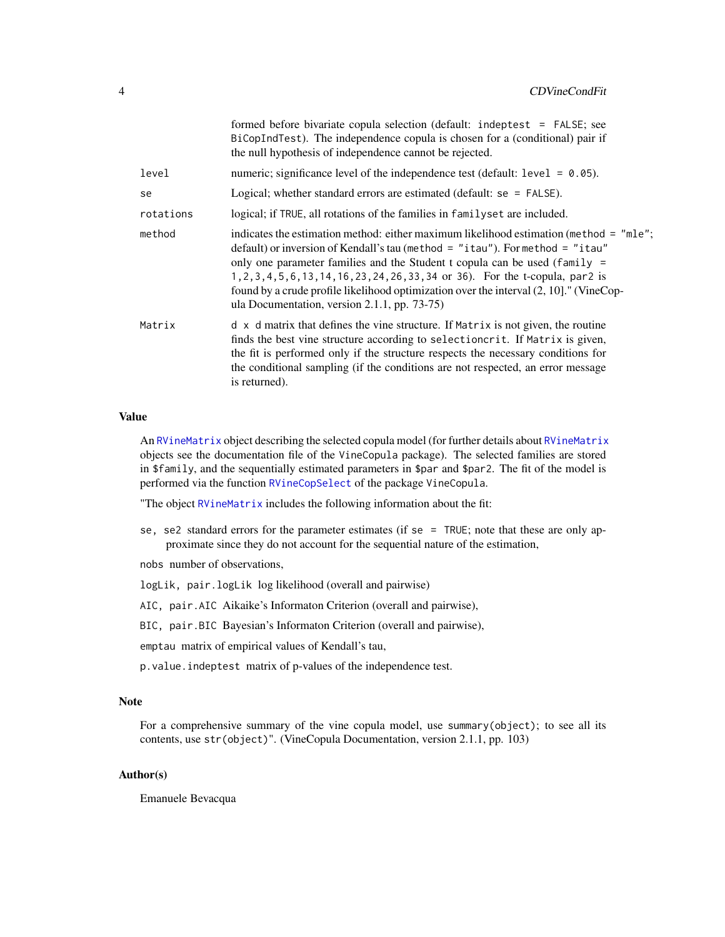<span id="page-3-0"></span>

|           | formed before bivariate copula selection (default: indeptest = FALSE; see<br>BiCopIndTest). The independence copula is chosen for a (conditional) pair if<br>the null hypothesis of independence cannot be rejected.                                                                                                                                                                                                                                                                    |
|-----------|-----------------------------------------------------------------------------------------------------------------------------------------------------------------------------------------------------------------------------------------------------------------------------------------------------------------------------------------------------------------------------------------------------------------------------------------------------------------------------------------|
| level     | numeric; significance level of the independence test (default: $level = 0.05$ ).                                                                                                                                                                                                                                                                                                                                                                                                        |
| se        | Logical; whether standard errors are estimated (default: $se = FALSE$ ).                                                                                                                                                                                                                                                                                                                                                                                                                |
| rotations | logical; if TRUE, all rotations of the families in familyset are included.                                                                                                                                                                                                                                                                                                                                                                                                              |
| method    | indicates the estimation method: either maximum likelihood estimation (method = "mle";<br>default) or inversion of Kendall's tau (method = "itau"). For method = "itau"<br>only one parameter families and the Student t copula can be used (family $=$<br>1, 2, 3, 4, 5, 6, 13, 14, 16, 23, 24, 26, 33, 34 or 36). For the t-copula, par2 is<br>found by a crude profile likelihood optimization over the interval (2, 10]." (VineCop-<br>ula Documentation, version 2.1.1, pp. 73-75) |
| Matrix    | $d \times d$ matrix that defines the vine structure. If Matrix is not given, the routine<br>finds the best vine structure according to selection crit. If Matrix is given,<br>the fit is performed only if the structure respects the necessary conditions for<br>the conditional sampling (if the conditions are not respected, an error message<br>is returned).                                                                                                                      |

#### Value

An [RVineMatrix](#page-0-0) object describing the selected copula model (for further details about RVineMatrix objects see the documentation file of the VineCopula package). The selected families are stored in \$family, and the sequentially estimated parameters in \$par and \$par2. The fit of the model is performed via the function [RVineCopSelect](#page-0-0) of the package VineCopula.

"The object [RVineMatrix](#page-0-0) includes the following information about the fit:

se, se2 standard errors for the parameter estimates (if se = TRUE; note that these are only approximate since they do not account for the sequential nature of the estimation,

nobs number of observations,

logLik, pair.logLik log likelihood (overall and pairwise)

AIC, pair.AIC Aikaike's Informaton Criterion (overall and pairwise),

BIC, pair.BIC Bayesian's Informaton Criterion (overall and pairwise),

emptau matrix of empirical values of Kendall's tau,

p.value.indeptest matrix of p-values of the independence test.

#### Note

For a comprehensive summary of the vine copula model, use summary(object); to see all its contents, use str(object)". (VineCopula Documentation, version 2.1.1, pp. 103)

#### Author(s)

Emanuele Bevacqua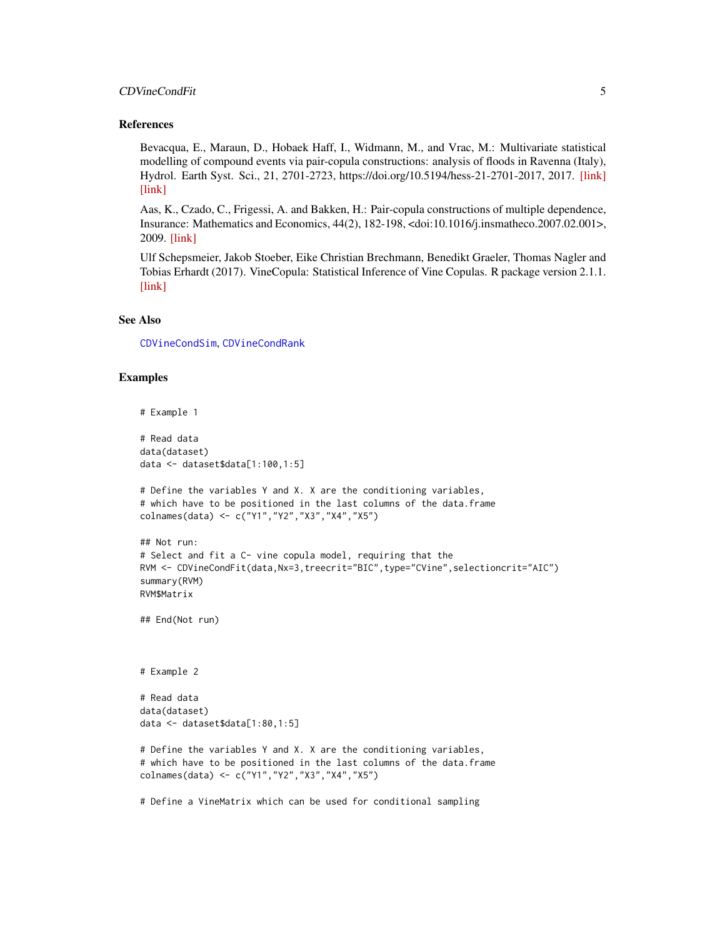#### <span id="page-4-0"></span>CDVineCondFit 5

#### References

Bevacqua, E., Maraun, D., Hobaek Haff, I., Widmann, M., and Vrac, M.: Multivariate statistical modelling of compound events via pair-copula constructions: analysis of floods in Ravenna (Italy), Hydrol. Earth Syst. Sci., 21, 2701-2723, https://doi.org/10.5194/hess-21-2701-2017, 2017. [\[link\]](https://www.researchgate.net/publication/317414374_Multivariate_statistical_modelling_of_compound_events_via_pair-copula_constructions_Analysis_of_floods_in_Ravenna_Italy) [\[link\]](https://www.hydrol-earth-syst-sci.net/21/2701/2017/hess-21-2701-2017.html)

Aas, K., Czado, C., Frigessi, A. and Bakken, H.: Pair-copula constructions of multiple dependence, Insurance: Mathematics and Economics, 44(2), 182-198, <doi:10.1016/j.insmatheco.2007.02.001>, 2009. [\[link\]](http://www.sciencedirect.com/science/article/pii/S0167668707000194)

Ulf Schepsmeier, Jakob Stoeber, Eike Christian Brechmann, Benedikt Graeler, Thomas Nagler and Tobias Erhardt (2017). VineCopula: Statistical Inference of Vine Copulas. R package version 2.1.1. [\[link\]](https://CRAN.R-project.org/package=VineCopula)

#### See Also

[CDVineCondSim](#page-10-1), [CDVineCondRank](#page-7-1)

```
# Example 1
# Read data
data(dataset)
data <- dataset$data[1:100,1:5]
# Define the variables Y and X. X are the conditioning variables,
# which have to be positioned in the last columns of the data.frame
colnames(data) <- c("Y1","Y2","X3","X4","X5")
## Not run:
# Select and fit a C- vine copula model, requiring that the
RVM <- CDVineCondFit(data,Nx=3,treecrit="BIC",type="CVine",selectioncrit="AIC")
summary(RVM)
RVM$Matrix
## End(Not run)
# Example 2
# Read data
data(dataset)
data <- dataset$data[1:80,1:5]
# Define the variables Y and X. X are the conditioning variables,
# which have to be positioned in the last columns of the data.frame
colnames(data) <- c("Y1","Y2","X3","X4","X5")
# Define a VineMatrix which can be used for conditional sampling
```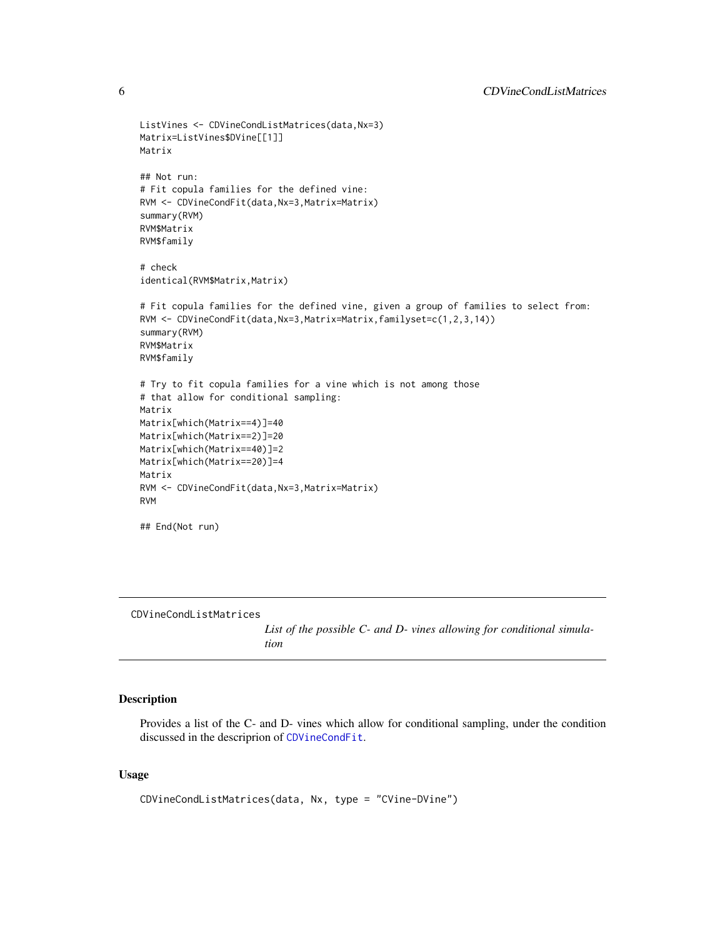```
ListVines <- CDVineCondListMatrices(data,Nx=3)
Matrix=ListVines$DVine[[1]]
Matrix
## Not run:
# Fit copula families for the defined vine:
RVM <- CDVineCondFit(data,Nx=3,Matrix=Matrix)
summary(RVM)
RVM$Matrix
RVM$family
# check
identical(RVM$Matrix,Matrix)
# Fit copula families for the defined vine, given a group of families to select from:
RVM <- CDVineCondFit(data,Nx=3,Matrix=Matrix,familyset=c(1,2,3,14))
summary(RVM)
RVM$Matrix
RVM$family
# Try to fit copula families for a vine which is not among those
# that allow for conditional sampling:
Matrix
Matrix[which(Matrix==4)]=40
Matrix[which(Matrix==2)]=20
Matrix[which(Matrix==40)]=2
Matrix[which(Matrix==20)]=4
Matrix
RVM <- CDVineCondFit(data,Nx=3,Matrix=Matrix)
RVM
## End(Not run)
```
CDVineCondListMatrices

*List of the possible C- and D- vines allowing for conditional simulation*

#### Description

Provides a list of the C- and D- vines which allow for conditional sampling, under the condition discussed in the descriprion of [CDVineCondFit](#page-1-1).

#### Usage

CDVineCondListMatrices(data, Nx, type = "CVine-DVine")

<span id="page-5-0"></span>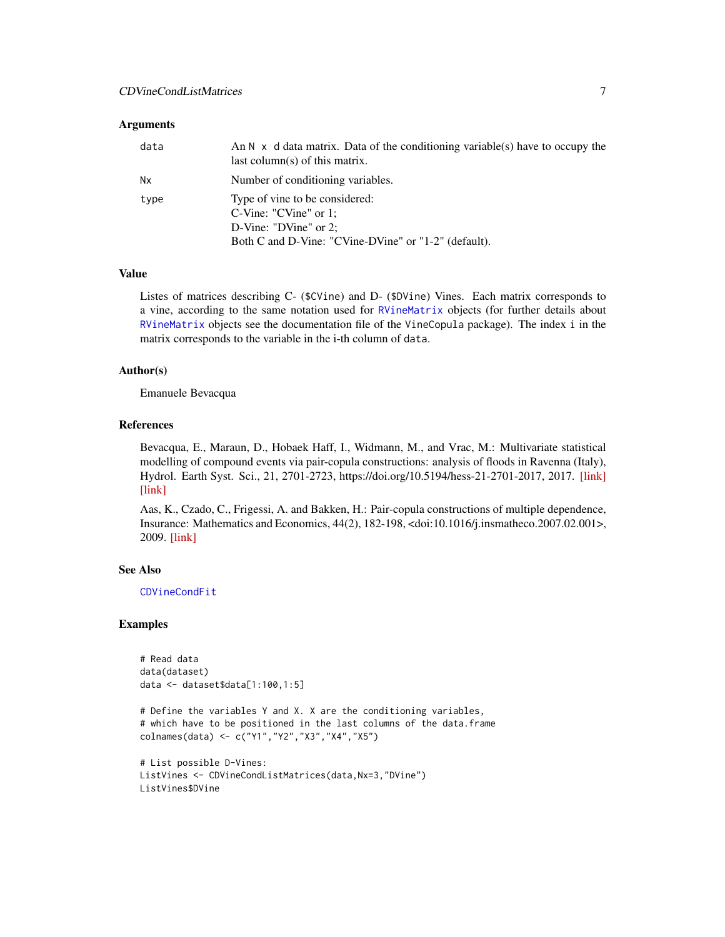#### <span id="page-6-0"></span>**Arguments**

| data      | An $N \times d$ data matrix. Data of the conditioning variable(s) have to occupy the<br>last column(s) of this matrix.                        |
|-----------|-----------------------------------------------------------------------------------------------------------------------------------------------|
| <b>Nx</b> | Number of conditioning variables.                                                                                                             |
| type      | Type of vine to be considered:<br>$C-Vine: "CVine"$ or 1;<br>D-Vine: "DVine" or $2$ ;<br>Both C and D-Vine: "CVine-DVine" or "1-2" (default). |

#### Value

Listes of matrices describing C- (\$CVine) and D- (\$DVine) Vines. Each matrix corresponds to a vine, according to the same notation used for [RVineMatrix](#page-0-0) objects (for further details about [RVineMatrix](#page-0-0) objects see the documentation file of the VineCopula package). The index i in the matrix corresponds to the variable in the i-th column of data.

#### Author(s)

Emanuele Bevacqua

#### References

Bevacqua, E., Maraun, D., Hobaek Haff, I., Widmann, M., and Vrac, M.: Multivariate statistical modelling of compound events via pair-copula constructions: analysis of floods in Ravenna (Italy), Hydrol. Earth Syst. Sci., 21, 2701-2723, https://doi.org/10.5194/hess-21-2701-2017, 2017. [\[link\]](https://www.researchgate.net/publication/317414374_Multivariate_statistical_modelling_of_compound_events_via_pair-copula_constructions_Analysis_of_floods_in_Ravenna_Italy) [\[link\]](https://www.hydrol-earth-syst-sci.net/21/2701/2017/hess-21-2701-2017.html)

Aas, K., Czado, C., Frigessi, A. and Bakken, H.: Pair-copula constructions of multiple dependence, Insurance: Mathematics and Economics, 44(2), 182-198, <doi:10.1016/j.insmatheco.2007.02.001>, 2009. [\[link\]](http://www.sciencedirect.com/science/article/pii/S0167668707000194)

#### See Also

[CDVineCondFit](#page-1-1)

```
# Read data
data(dataset)
data <- dataset$data[1:100,1:5]
```

```
# Define the variables Y and X. X are the conditioning variables,
# which have to be positioned in the last columns of the data.frame
colnames(data) <- c("Y1","Y2","X3","X4","X5")
```

```
# List possible D-Vines:
ListVines <- CDVineCondListMatrices(data,Nx=3,"DVine")
ListVines$DVine
```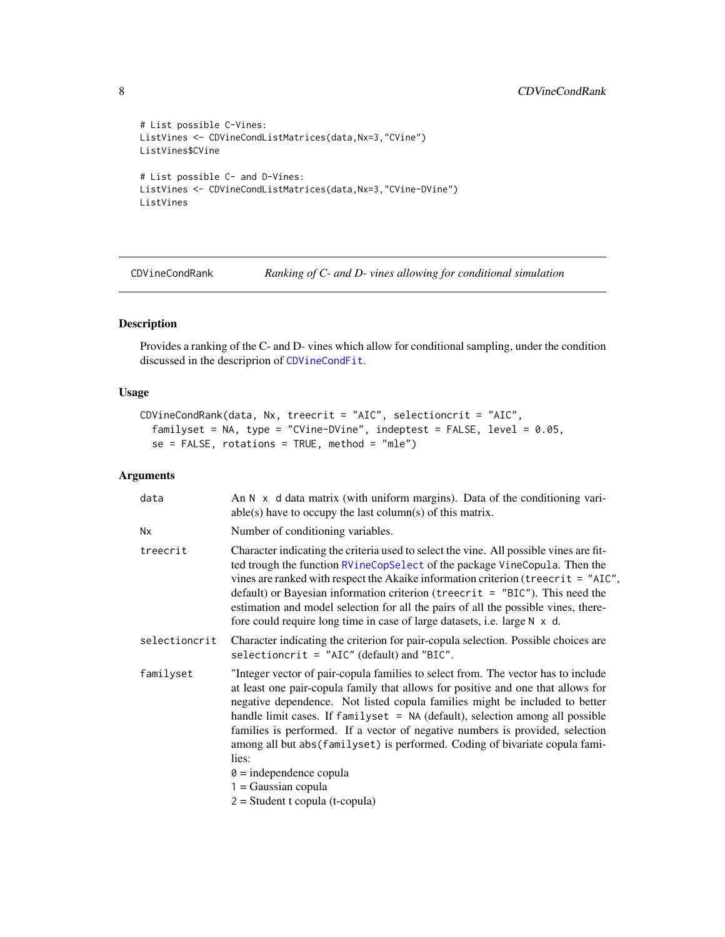```
# List possible C-Vines:
ListVines <- CDVineCondListMatrices(data,Nx=3,"CVine")
ListVines$CVine
# List possible C- and D-Vines:
ListVines <- CDVineCondListMatrices(data,Nx=3,"CVine-DVine")
ListVines
```
<span id="page-7-1"></span>CDVineCondRank *Ranking of C- and D- vines allowing for conditional simulation*

#### Description

Provides a ranking of the C- and D- vines which allow for conditional sampling, under the condition discussed in the descriprion of [CDVineCondFit](#page-1-1).

#### Usage

```
CDVineCondRank(data, Nx, treecrit = "AIC", selectioncrit = "AIC",
  familyset = NA, type = "CVine-DVine", indeptest = FALSE, level = 0.05,
  se = FALSE, rotations = TRUE, method = "mle")
```
#### Arguments

| data          | An $N \times d$ data matrix (with uniform margins). Data of the conditioning vari-<br>$able(s)$ have to occupy the last column(s) of this matrix.                                                                                                                                                                                                                                                                                                                                                                                                                                                               |
|---------------|-----------------------------------------------------------------------------------------------------------------------------------------------------------------------------------------------------------------------------------------------------------------------------------------------------------------------------------------------------------------------------------------------------------------------------------------------------------------------------------------------------------------------------------------------------------------------------------------------------------------|
| Nx            | Number of conditioning variables.                                                                                                                                                                                                                                                                                                                                                                                                                                                                                                                                                                               |
| treecrit      | Character indicating the criteria used to select the vine. All possible vines are fit-<br>ted trough the function RVineCopSelect of the package VineCopula. Then the<br>vines are ranked with respect the Akaike information criterion (treecrit = "AIC",<br>default) or Bayesian information criterion (treecrit = $"BIC"$ ). This need the<br>estimation and model selection for all the pairs of all the possible vines, there-<br>fore could require long time in case of large datasets, i.e. large N x d.                                                                                                 |
| selectioncrit | Character indicating the criterion for pair-copula selection. Possible choices are<br>selectioncrit = $"AIC"$ (default) and "BIC".                                                                                                                                                                                                                                                                                                                                                                                                                                                                              |
| familyset     | "Integer vector of pair-copula families to select from. The vector has to include<br>at least one pair-copula family that allows for positive and one that allows for<br>negative dependence. Not listed copula families might be included to better<br>handle limit cases. If familyset = NA (default), selection among all possible<br>families is performed. If a vector of negative numbers is provided, selection<br>among all but abs (familyset) is performed. Coding of bivariate copula fami-<br>lies:<br>$\theta$ = independence copula<br>$1 = Gaussian copula$<br>$2 = Student$ t copula (t-copula) |

<span id="page-7-0"></span>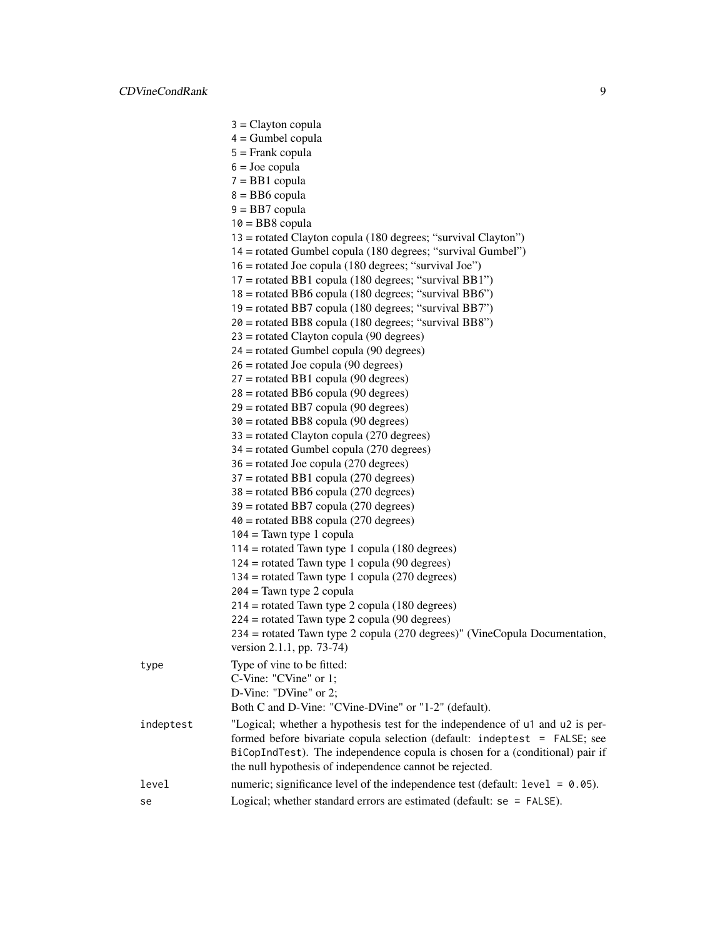|           | $3 =$ Clayton copula                                                                                    |
|-----------|---------------------------------------------------------------------------------------------------------|
|           | $4 =$ Gumbel copula                                                                                     |
|           | $5 =$ Frank copula                                                                                      |
|           | $6 =$ Joe copula                                                                                        |
|           | $7 = BB1$ copula                                                                                        |
|           | $8 = BB6$ copula                                                                                        |
|           | $9 = BB7$ copula                                                                                        |
|           | $10 = BB8$ copula                                                                                       |
|           | 13 = rotated Clayton copula (180 degrees; "survival Clayton")                                           |
|           | 14 = rotated Gumbel copula (180 degrees; "survival Gumbel")                                             |
|           | $16$ = rotated Joe copula (180 degrees; "survival Joe")                                                 |
|           | $17$ = rotated BB1 copula (180 degrees; "survival BB1")                                                 |
|           | 18 = rotated BB6 copula (180 degrees; "survival BB6")                                                   |
|           | 19 = rotated BB7 copula (180 degrees; "survival BB7")                                                   |
|           | $20$ = rotated BB8 copula (180 degrees; "survival BB8")                                                 |
|           | $23$ = rotated Clayton copula (90 degrees)                                                              |
|           | $24$ = rotated Gumbel copula (90 degrees)                                                               |
|           | $26$ = rotated Joe copula (90 degrees)                                                                  |
|           | $27$ = rotated BB1 copula (90 degrees)                                                                  |
|           | $28 =$ rotated BB6 copula (90 degrees)                                                                  |
|           | $29$ = rotated BB7 copula (90 degrees)                                                                  |
|           | $30 =$ rotated BB8 copula (90 degrees)                                                                  |
|           | $33 =$ rotated Clayton copula (270 degrees)                                                             |
|           | $34$ = rotated Gumbel copula (270 degrees)                                                              |
|           | $36$ = rotated Joe copula (270 degrees)                                                                 |
|           | $37$ = rotated BB1 copula (270 degrees)                                                                 |
|           | $38 =$ rotated BB6 copula (270 degrees)                                                                 |
|           | $39$ = rotated BB7 copula (270 degrees)                                                                 |
|           | $40$ = rotated BB8 copula (270 degrees)                                                                 |
|           | $104 =$ Tawn type 1 copula                                                                              |
|           | $114$ = rotated Tawn type 1 copula (180 degrees)                                                        |
|           | $124$ = rotated Tawn type 1 copula (90 degrees)                                                         |
|           | $134$ = rotated Tawn type 1 copula (270 degrees)                                                        |
|           | $204 =$ Tawn type 2 copula                                                                              |
|           | $214$ = rotated Tawn type 2 copula (180 degrees)                                                        |
|           | $224$ = rotated Tawn type 2 copula (90 degrees)                                                         |
|           | 234 = rotated Tawn type 2 copula (270 degrees)" (VineCopula Documentation,<br>version 2.1.1, pp. 73-74) |
| type      | Type of vine to be fitted:                                                                              |
|           | C-Vine: "CVine" or 1;                                                                                   |
|           | D-Vine: "DVine" or 2;                                                                                   |
|           | Both C and D-Vine: "CVine-DVine" or "1-2" (default).                                                    |
| indeptest | "Logical; whether a hypothesis test for the independence of u1 and u2 is per-                           |
|           | formed before bivariate copula selection (default: indeptest = FALSE; see                               |
|           | BiCopIndTest). The independence copula is chosen for a (conditional) pair if                            |
|           | the null hypothesis of independence cannot be rejected.                                                 |
| level     | numeric; significance level of the independence test (default: $level = 0.05$ ).                        |
| se        | Logical; whether standard errors are estimated (default: se = FALSE).                                   |
|           |                                                                                                         |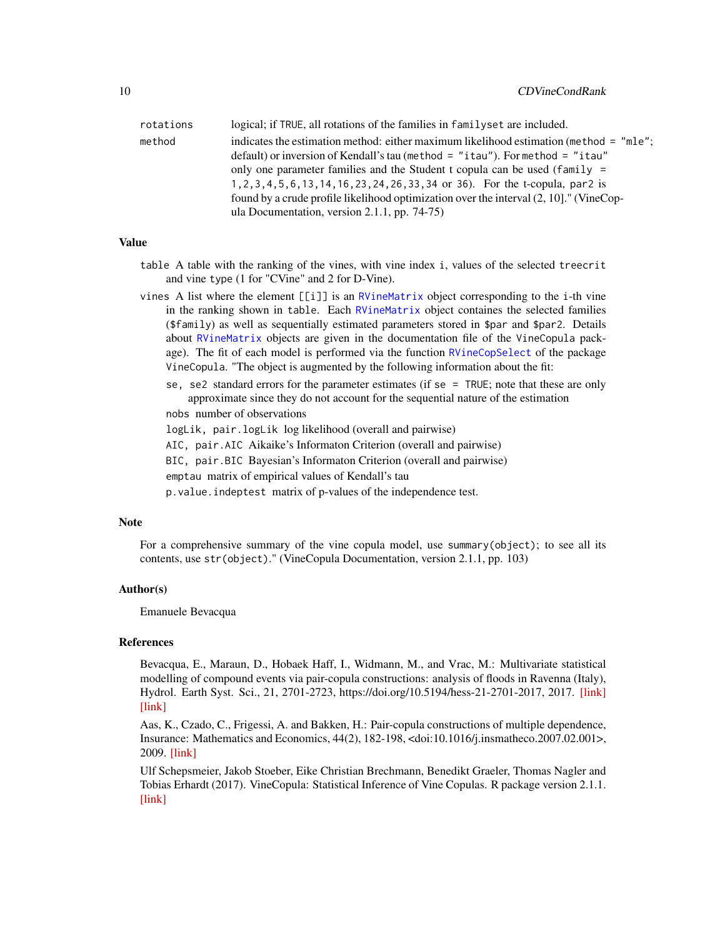<span id="page-9-0"></span>

| rotations | logical; if TRUE, all rotations of the families in familyset are included.             |
|-----------|----------------------------------------------------------------------------------------|
| method    | indicates the estimation method: either maximum likelihood estimation (method = "mle"; |
|           | default) or inversion of Kendall's tau (method $=$ "itau"). For method $=$ "itau"      |
|           | only one parameter families and the Student t copula can be used (family =             |
|           | 1, 2, 3, 4, 5, 6, 13, 14, 16, 23, 24, 26, 33, 34 or 36). For the t-copula, par2 is     |
|           | found by a crude profile likelihood optimization over the interval (2, 10)." (VineCop- |
|           | ula Documentation, version $2.1.1$ , pp. 74-75)                                        |

#### Value

table A table with the ranking of the vines, with vine index i, values of the selected treecrit and vine type (1 for "CVine" and 2 for D-Vine).

vines A list where the element [[i]] is an [RVineMatrix](#page-0-0) object corresponding to the i-th vine in the ranking shown in table. Each [RVineMatrix](#page-0-0) object containes the selected families (\$family) as well as sequentially estimated parameters stored in \$par and \$par2. Details about [RVineMatrix](#page-0-0) objects are given in the documentation file of the VineCopula package). The fit of each model is performed via the function [RVineCopSelect](#page-0-0) of the package VineCopula. "The object is augmented by the following information about the fit:

se, se2 standard errors for the parameter estimates (if se = TRUE; note that these are only approximate since they do not account for the sequential nature of the estimation

nobs number of observations

logLik, pair.logLik log likelihood (overall and pairwise)

AIC, pair.AIC Aikaike's Informaton Criterion (overall and pairwise)

BIC, pair.BIC Bayesian's Informaton Criterion (overall and pairwise)

emptau matrix of empirical values of Kendall's tau

p.value.indeptest matrix of p-values of the independence test.

#### **Note**

For a comprehensive summary of the vine copula model, use summary(object); to see all its contents, use str(object)." (VineCopula Documentation, version 2.1.1, pp. 103)

#### Author(s)

Emanuele Bevacqua

#### References

Bevacqua, E., Maraun, D., Hobaek Haff, I., Widmann, M., and Vrac, M.: Multivariate statistical modelling of compound events via pair-copula constructions: analysis of floods in Ravenna (Italy), Hydrol. Earth Syst. Sci., 21, 2701-2723, https://doi.org/10.5194/hess-21-2701-2017, 2017. [\[link\]](https://www.researchgate.net/publication/317414374_Multivariate_statistical_modelling_of_compound_events_via_pair-copula_constructions_Analysis_of_floods_in_Ravenna_Italy) [\[link\]](https://www.hydrol-earth-syst-sci.net/21/2701/2017/hess-21-2701-2017.html)

Aas, K., Czado, C., Frigessi, A. and Bakken, H.: Pair-copula constructions of multiple dependence, Insurance: Mathematics and Economics, 44(2), 182-198, <doi:10.1016/j.insmatheco.2007.02.001>, 2009. [\[link\]](http://www.sciencedirect.com/science/article/pii/S0167668707000194)

Ulf Schepsmeier, Jakob Stoeber, Eike Christian Brechmann, Benedikt Graeler, Thomas Nagler and Tobias Erhardt (2017). VineCopula: Statistical Inference of Vine Copulas. R package version 2.1.1. [\[link\]](https://CRAN.R-project.org/package=VineCopula)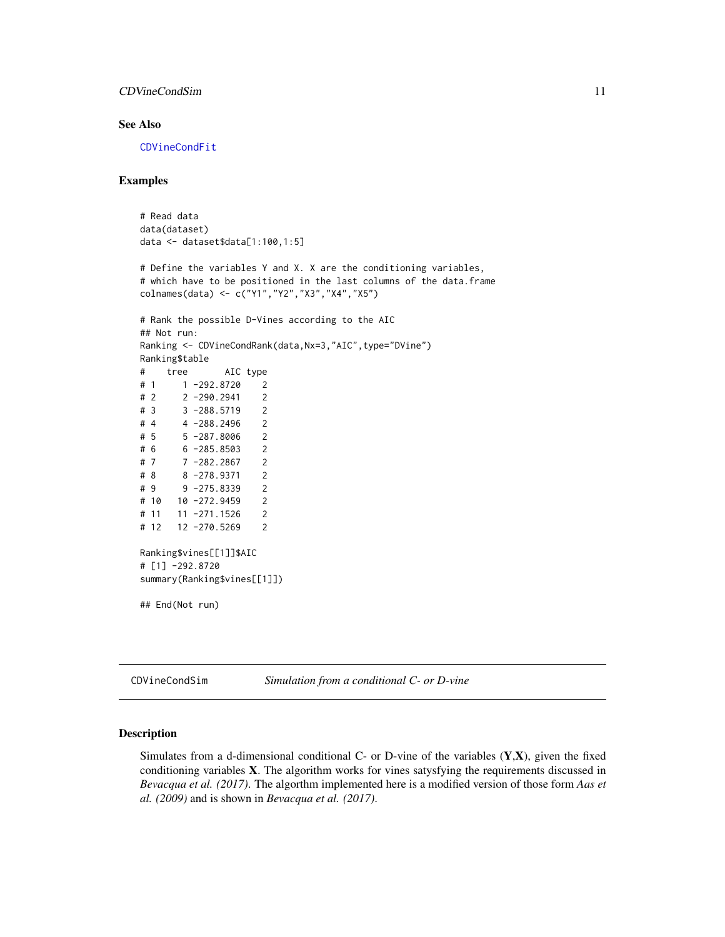#### <span id="page-10-0"></span>CDVineCondSim 11

#### See Also

[CDVineCondFit](#page-1-1)

#### Examples

```
# Read data
data(dataset)
data <- dataset$data[1:100,1:5]
```

```
# Define the variables Y and X. X are the conditioning variables,
# which have to be positioned in the last columns of the data.frame
colnames(data) <- c("Y1","Y2","X3","X4","X5")
```

```
# Rank the possible D-Vines according to the AIC
## Not run:
Ranking <- CDVineCondRank(data,Nx=3,"AIC",type="DVine")
Ranking$table
# tree AIC type
# 1 1 -292.8720 2
# 2 2 -290.2941 2
# 3 3 -288.5719 2
# 4 4 -288.2496 2
# 5 5 -287.8006 2
# 6 6 -285.8503 2
# 7 7 -282.2867 2
# 8 8 -278.9371 2
# 9 9 -275.8339 2
# 10 10 -272.9459 2
# 11 11 -271.1526 2
# 12 12 -270.5269 2
Ranking$vines[[1]]$AIC
# [1] -292.8720
summary(Ranking$vines[[1]])
## End(Not run)
```
<span id="page-10-1"></span>CDVineCondSim *Simulation from a conditional C- or D-vine*

#### Description

Simulates from a d-dimensional conditional C- or D-vine of the variables  $(Y,X)$ , given the fixed conditioning variables X. The algorithm works for vines satysfying the requirements discussed in *Bevacqua et al. (2017)*. The algorthm implemented here is a modified version of those form *Aas et al. (2009)* and is shown in *Bevacqua et al. (2017)*.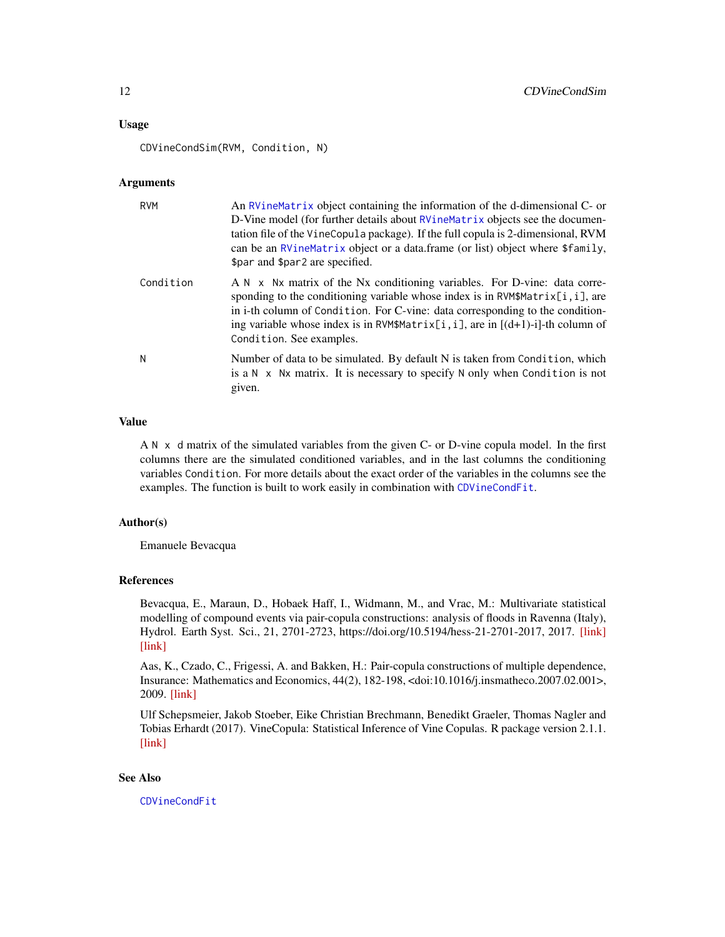#### <span id="page-11-0"></span>Usage

CDVineCondSim(RVM, Condition, N)

#### Arguments

| <b>RVM</b> | An RV inematrix object containing the information of the d-dimensional C- or<br>D-Vine model (for further details about RVineMatrix objects see the documen-<br>tation file of the VineCopula package). If the full copula is 2-dimensional, RVM<br>can be an RVineMatrix object or a data.frame (or list) object where \$family,<br>\$par and \$par2 are specified. |
|------------|----------------------------------------------------------------------------------------------------------------------------------------------------------------------------------------------------------------------------------------------------------------------------------------------------------------------------------------------------------------------|
| Condition  | A N x Nx matrix of the Nx conditioning variables. For D-vine: data corre-<br>sponding to the conditioning variable whose index is in RVM\$Matrix[i, i], are<br>in i-th column of Condition. For C-vine: data corresponding to the condition-<br>ing variable whose index is in RVM\$Matrix[i, i], are in $[(d+1)-i]$ -th column of<br>Condition. See examples.       |
| N          | Number of data to be simulated. By default N is taken from Condition, which<br>is a $N \times Nx$ matrix. It is necessary to specify N only when Condition is not<br>given.                                                                                                                                                                                          |

#### Value

A N x d matrix of the simulated variables from the given C- or D-vine copula model. In the first columns there are the simulated conditioned variables, and in the last columns the conditioning variables Condition. For more details about the exact order of the variables in the columns see the examples. The function is built to work easily in combination with [CDVineCondFit](#page-1-1).

#### Author(s)

Emanuele Bevacqua

#### References

Bevacqua, E., Maraun, D., Hobaek Haff, I., Widmann, M., and Vrac, M.: Multivariate statistical modelling of compound events via pair-copula constructions: analysis of floods in Ravenna (Italy), Hydrol. Earth Syst. Sci., 21, 2701-2723, https://doi.org/10.5194/hess-21-2701-2017, 2017. [\[link\]](https://www.researchgate.net/publication/317414374_Multivariate_statistical_modelling_of_compound_events_via_pair-copula_constructions_Analysis_of_floods_in_Ravenna_Italy) [\[link\]](https://www.hydrol-earth-syst-sci.net/21/2701/2017/hess-21-2701-2017.html)

Aas, K., Czado, C., Frigessi, A. and Bakken, H.: Pair-copula constructions of multiple dependence, Insurance: Mathematics and Economics, 44(2), 182-198, <doi:10.1016/j.insmatheco.2007.02.001>, 2009. [\[link\]](http://www.sciencedirect.com/science/article/pii/S0167668707000194)

Ulf Schepsmeier, Jakob Stoeber, Eike Christian Brechmann, Benedikt Graeler, Thomas Nagler and Tobias Erhardt (2017). VineCopula: Statistical Inference of Vine Copulas. R package version 2.1.1. [\[link\]](https://CRAN.R-project.org/package=VineCopula)

#### See Also

[CDVineCondFit](#page-1-1)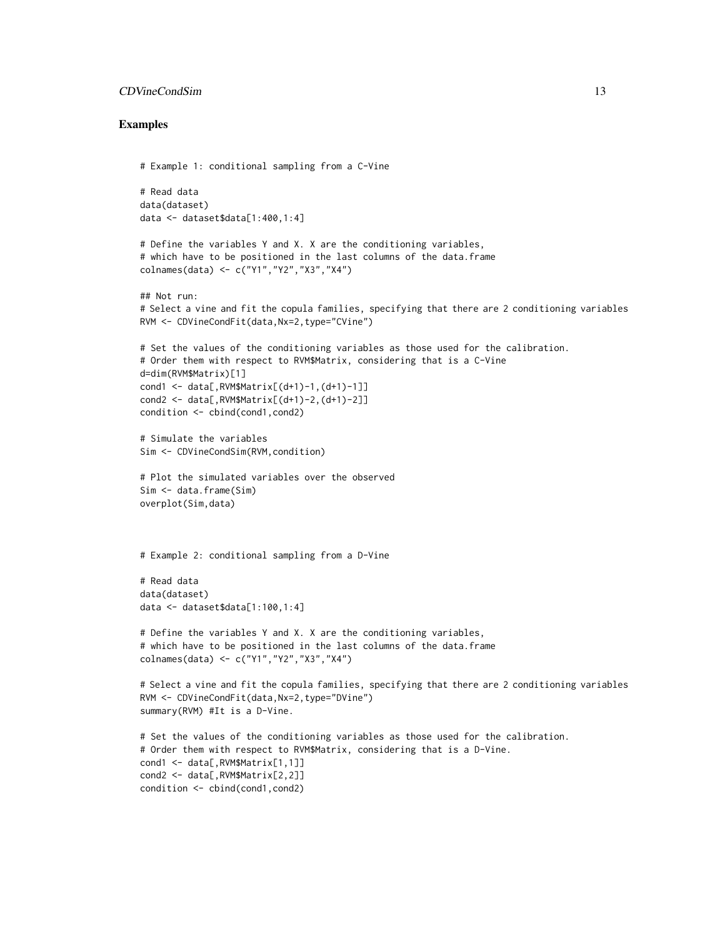#### CDVineCondSim 13

```
# Example 1: conditional sampling from a C-Vine
# Read data
data(dataset)
data <- dataset$data[1:400,1:4]
# Define the variables Y and X. X are the conditioning variables,
# which have to be positioned in the last columns of the data.frame
colnames(data) <- c("Y1","Y2","X3","X4")
## Not run:
# Select a vine and fit the copula families, specifying that there are 2 conditioning variables
RVM <- CDVineCondFit(data,Nx=2,type="CVine")
# Set the values of the conditioning variables as those used for the calibration.
# Order them with respect to RVM$Matrix, considering that is a C-Vine
d=dim(RVM$Matrix)[1]
cond1 <- data[,RVM$Matrix[(d+1)-1,(d+1)-1]]
cond2 <- data[,RVM$Matrix[(d+1)-2,(d+1)-2]]
condition <- cbind(cond1,cond2)
# Simulate the variables
Sim <- CDVineCondSim(RVM,condition)
# Plot the simulated variables over the observed
Sim <- data.frame(Sim)
overplot(Sim,data)
# Example 2: conditional sampling from a D-Vine
# Read data
data(dataset)
data <- dataset$data[1:100,1:4]
# Define the variables Y and X. X are the conditioning variables,
# which have to be positioned in the last columns of the data.frame
colnames(data) <- c("Y1","Y2","X3","X4")
# Select a vine and fit the copula families, specifying that there are 2 conditioning variables
RVM <- CDVineCondFit(data,Nx=2,type="DVine")
summary(RVM) #It is a D-Vine.
# Set the values of the conditioning variables as those used for the calibration.
# Order them with respect to RVM$Matrix, considering that is a D-Vine.
cond1 <- data[,RVM$Matrix[1,1]]
cond2 <- data[,RVM$Matrix[2,2]]
condition <- cbind(cond1,cond2)
```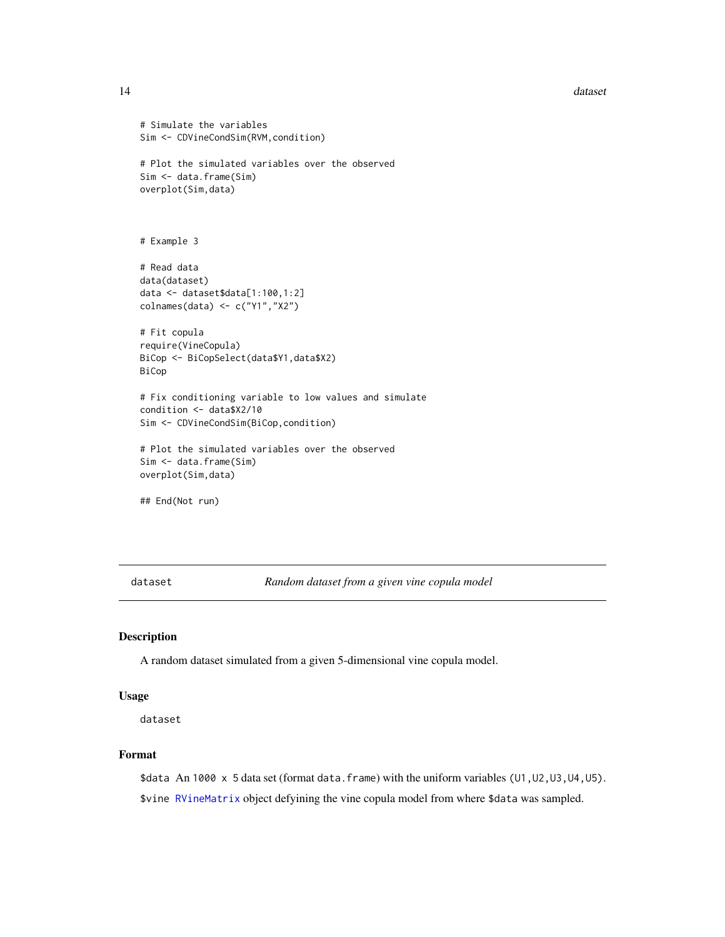#### <span id="page-13-0"></span>14 dataset

```
# Simulate the variables
Sim <- CDVineCondSim(RVM, condition)
# Plot the simulated variables over the observed
Sim <- data.frame(Sim)
overplot(Sim,data)
# Example 3
# Read data
data(dataset)
data <- dataset$data[1:100,1:2]
colnames(data) <- c("Y1","X2")
# Fit copula
require(VineCopula)
BiCop <- BiCopSelect(data$Y1,data$X2)
BiCop
# Fix conditioning variable to low values and simulate
condition <- data$X2/10
Sim <- CDVineCondSim(BiCop,condition)
# Plot the simulated variables over the observed
Sim <- data.frame(Sim)
overplot(Sim,data)
## End(Not run)
```
dataset *Random dataset from a given vine copula model*

#### Description

A random dataset simulated from a given 5-dimensional vine copula model.

#### Usage

dataset

#### Format

\$data An 1000 x 5 data set (format data.frame) with the uniform variables (U1, U2, U3, U4, U5). \$vine [RVineMatrix](#page-0-0) object defyining the vine copula model from where \$data was sampled.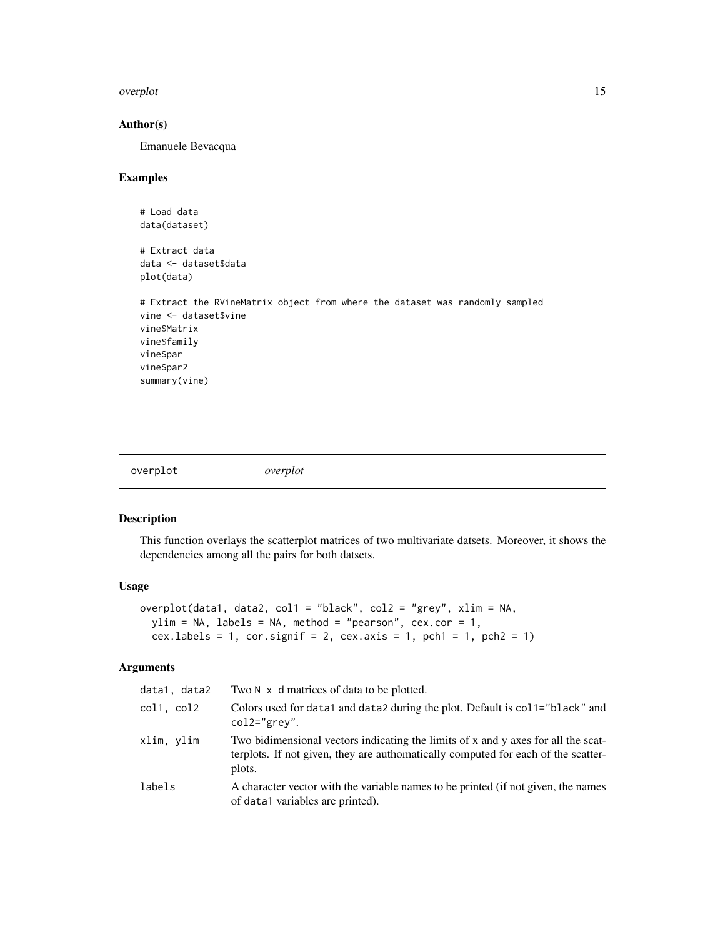#### <span id="page-14-0"></span>overplot that the contract of the contract of the contract of the contract of the contract of the contract of the contract of the contract of the contract of the contract of the contract of the contract of the contract of

#### Author(s)

Emanuele Bevacqua

#### Examples

```
# Load data
data(dataset)
# Extract data
data <- dataset$data
plot(data)
# Extract the RVineMatrix object from where the dataset was randomly sampled
vine <- dataset$vine
vine$Matrix
vine$family
vine$par
vine$par2
summary(vine)
```

#### Description

This function overlays the scatterplot matrices of two multivariate datsets. Moreover, it shows the dependencies among all the pairs for both datsets.

#### Usage

```
overplot(data1, data2, col1 = "black", col2 = "grey", xlim = NA,
 ylim = NA, labels = NA, method = "pearson", cex.cor = 1,
  cex.labels = 1, cor.signif = 2, cex.axis = 1, pch1 = 1, pch2 = 1)
```
#### Arguments

| data1, data2 | Two N x d matrices of data to be plotted.                                                                                                                                        |
|--------------|----------------------------------------------------------------------------------------------------------------------------------------------------------------------------------|
| col1, col2   | Colors used for data1 and data2 during the plot. Default is col1="black" and<br>$col2="green"$ grey".                                                                            |
| xlim, ylim   | Two bidimensional vectors indicating the limits of x and y axes for all the scat-<br>terplots. If not given, they are authomatically computed for each of the scatter-<br>plots. |
| labels       | A character vector with the variable names to be printed (if not given, the names<br>of data1 variables are printed).                                                            |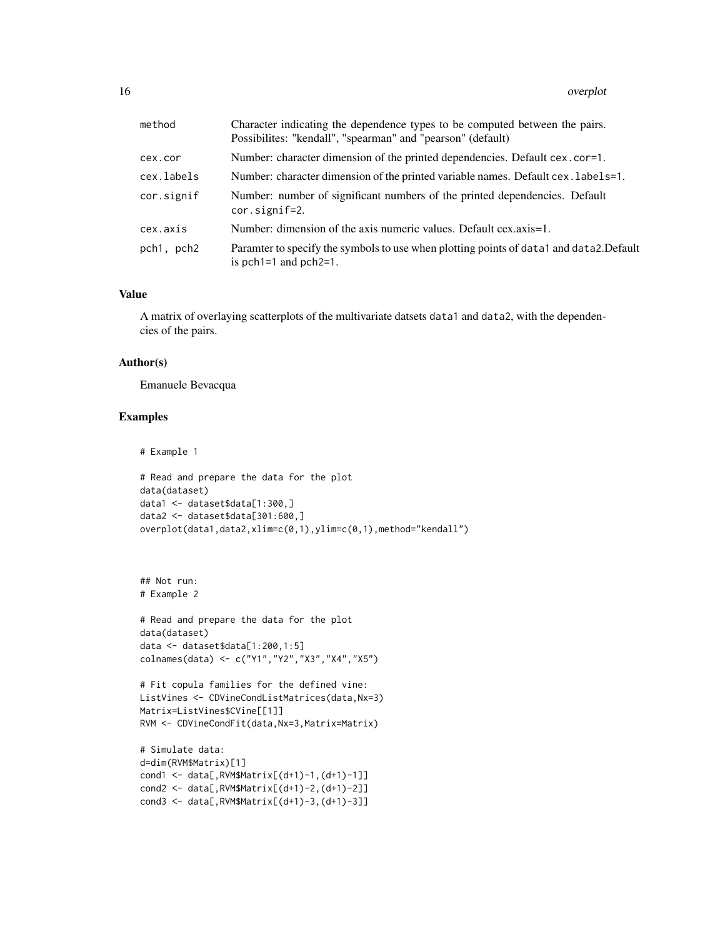| method     | Character indicating the dependence types to be computed between the pairs.<br>Possibilities: "kendall", "spearman" and "pearson" (default) |
|------------|---------------------------------------------------------------------------------------------------------------------------------------------|
| cex.cor    | Number: character dimension of the printed dependencies. Default cex.cor=1.                                                                 |
| cex.labels | Number: character dimension of the printed variable names. Default cex. labels=1.                                                           |
| cor.signif | Number: number of significant numbers of the printed dependencies. Default<br>$cor.\text{signif=2.}$                                        |
| cex.axis   | Number: dimension of the axis numeric values. Default cex.axis=1.                                                                           |
| pch1, pch2 | Paramter to specify the symbols to use when plotting points of data1 and data2. Default<br>is $pch1=1$ and $pch2=1$ .                       |

#### Value

A matrix of overlaying scatterplots of the multivariate datsets data1 and data2, with the dependencies of the pairs.

#### Author(s)

Emanuele Bevacqua

```
# Example 1
# Read and prepare the data for the plot
data(dataset)
data1 <- dataset$data[1:300,]
data2 <- dataset$data[301:600,]
overplot(data1,data2,xlim=c(0,1),ylim=c(0,1),method="kendall")
```

```
## Not run:
# Example 2
```

```
# Read and prepare the data for the plot
data(dataset)
data <- dataset$data[1:200,1:5]
colnames(data) <- c("Y1","Y2","X3","X4","X5")
```

```
# Fit copula families for the defined vine:
ListVines <- CDVineCondListMatrices(data,Nx=3)
Matrix=ListVines$CVine[[1]]
RVM <- CDVineCondFit(data,Nx=3,Matrix=Matrix)
```

```
# Simulate data:
d=dim(RVM$Matrix)[1]
cond1 <- data[,RVM$Matrix[(d+1)-1,(d+1)-1]]
cond2 <- data[,RVM$Matrix[(d+1)-2,(d+1)-2]]
cond3 <- data[,RVM$Matrix[(d+1)-3,(d+1)-3]]
```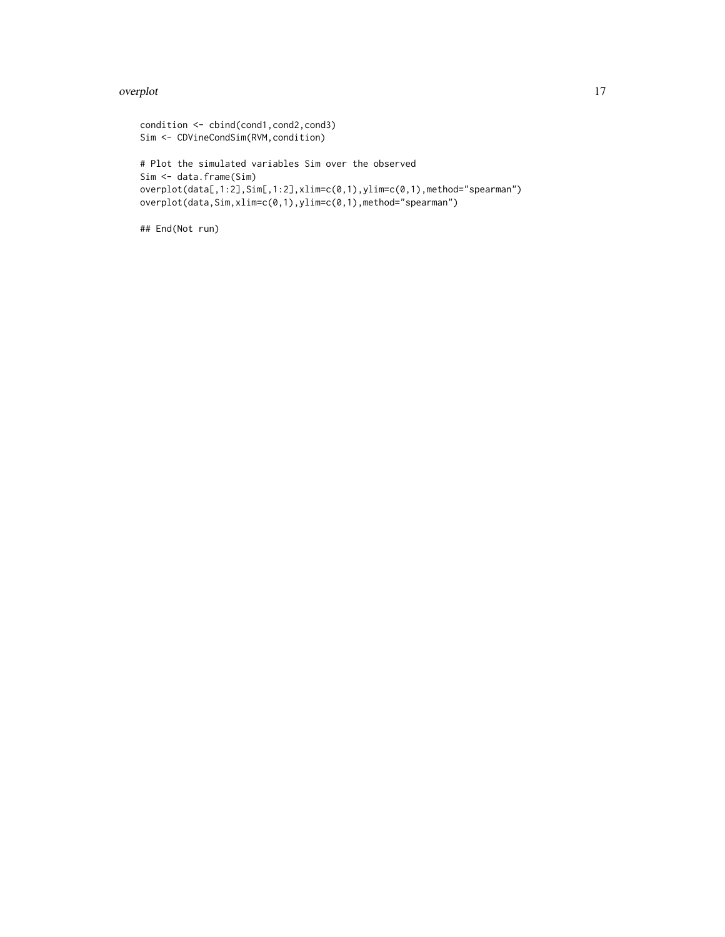#### overplot that the contract of the contract of the contract of the contract of the contract of the contract of the contract of the contract of the contract of the contract of the contract of the contract of the contract of

```
condition <- cbind(cond1,cond2,cond3)
Sim <- CDVineCondSim(RVM,condition)
# Plot the simulated variables Sim over the observed
Sim <- data.frame(Sim)
overplot(data[,1:2],Sim[,1:2],xlim=c(0,1),ylim=c(0,1),method="spearman")
overplot(data,Sim,xlim=c(0,1),ylim=c(0,1),method="spearman")
```

```
## End(Not run)
```